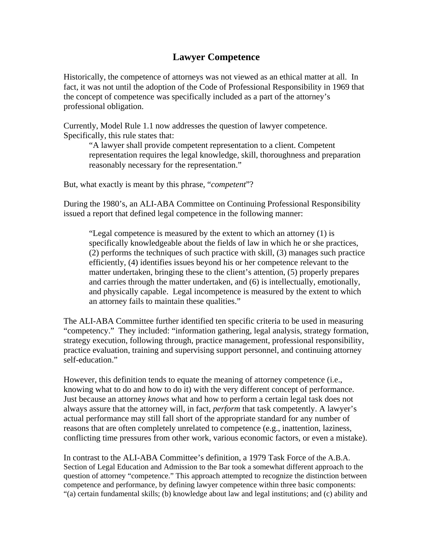## **Lawyer Competence**

Historically, the competence of attorneys was not viewed as an ethical matter at all. In fact, it was not until the adoption of the Code of Professional Responsibility in 1969 that the concept of competence was specifically included as a part of the attorney's professional obligation.

Currently, Model Rule 1.1 now addresses the question of lawyer competence. Specifically, this rule states that:

"A lawyer shall provide competent representation to a client. Competent representation requires the legal knowledge, skill, thoroughness and preparation reasonably necessary for the representation."

But, what exactly is meant by this phrase, "*competent*"?

During the 1980's, an ALI-ABA Committee on Continuing Professional Responsibility issued a report that defined legal competence in the following manner:

"Legal competence is measured by the extent to which an attorney (1) is specifically knowledgeable about the fields of law in which he or she practices, (2) performs the techniques of such practice with skill, (3) manages such practice efficiently, (4) identifies issues beyond his or her competence relevant to the matter undertaken, bringing these to the client's attention, (5) properly prepares and carries through the matter undertaken, and (6) is intellectually, emotionally, and physically capable. Legal incompetence is measured by the extent to which an attorney fails to maintain these qualities."

The ALI-ABA Committee further identified ten specific criteria to be used in measuring "competency." They included: "information gathering, legal analysis, strategy formation, strategy execution, following through, practice management, professional responsibility, practice evaluation, training and supervising support personnel, and continuing attorney self-education."

However, this definition tends to equate the meaning of attorney competence (i.e., knowing what to do and how to do it) with the very different concept of performance. Just because an attorney *knows* what and how to perform a certain legal task does not always assure that the attorney will, in fact, *perform* that task competently. A lawyer's actual performance may still fall short of the appropriate standard for any number of reasons that are often completely unrelated to competence (e.g., inattention, laziness, conflicting time pressures from other work, various economic factors, or even a mistake).

In contrast to the ALI-ABA Committee's definition, a 1979 Task Force of the A.B.A. Section of Legal Education and Admission to the Bar took a somewhat different approach to the question of attorney "competence." This approach attempted to recognize the distinction between competence and performance, by defining lawyer competence within three basic components: "(a) certain fundamental skills; (b) knowledge about law and legal institutions; and (c) ability and